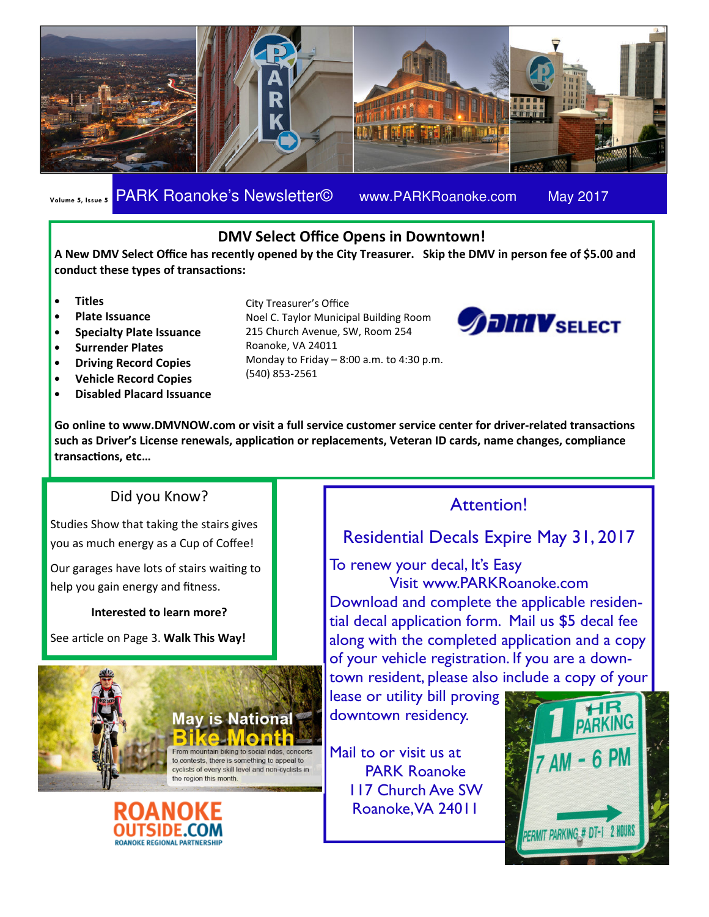

### Volume 5, Issue 5 PARK Roanoke's Newsletter© www.PARKRoanoke.com May 2017

### DMV Select Office Opens in Downtown!

A New DMV Select Office has recently opened by the City Treasurer. Skip the DMV in person fee of \$5.00 and conduct these types of transactions:

- Titles
- Plate Issuance
- Specialty Plate Issuance
- Surrender Plates
- Driving Record Copies
- Vehicle Record Copies
- Disabled Placard Issuance

City Treasurer's Office

Noel C. Taylor Municipal Building Room 215 Church Avenue, SW, Room 254 Roanoke, VA 24011 Monday to Friday  $-8:00$  a.m. to 4:30 p.m. (540) 853-2561



Go online to www.DMVNOW.com or visit a full service customer service center for driver-related transactions such as Driver's License renewals, application or replacements, Veteran ID cards, name changes, compliance transactions, etc...

### Did you Know?

Studies Show that taking the stairs gives you as much energy as a Cup of Coffee!

Our garages have lots of stairs waiting to help you gain energy and fitness.

#### Interested to learn more?

See article on Page 3. Walk This Way!



# **ROANOKE REGIONAL PARTNERSHI**

### Attention!

### Residential Decals Expire May 31, 2017

To renew your decal, It's Easy

Visit www.PARKRoanoke.com Download and complete the applicable residential decal application form. Mail us \$5 decal fee along with the completed application and a copy of your vehicle registration. If you are a downtown resident, please also include a copy of your

lease or utility bill proving downtown residency.

Mail to or visit us at PARK Roanoke 117 Church Ave SW Roanoke, VA 24011

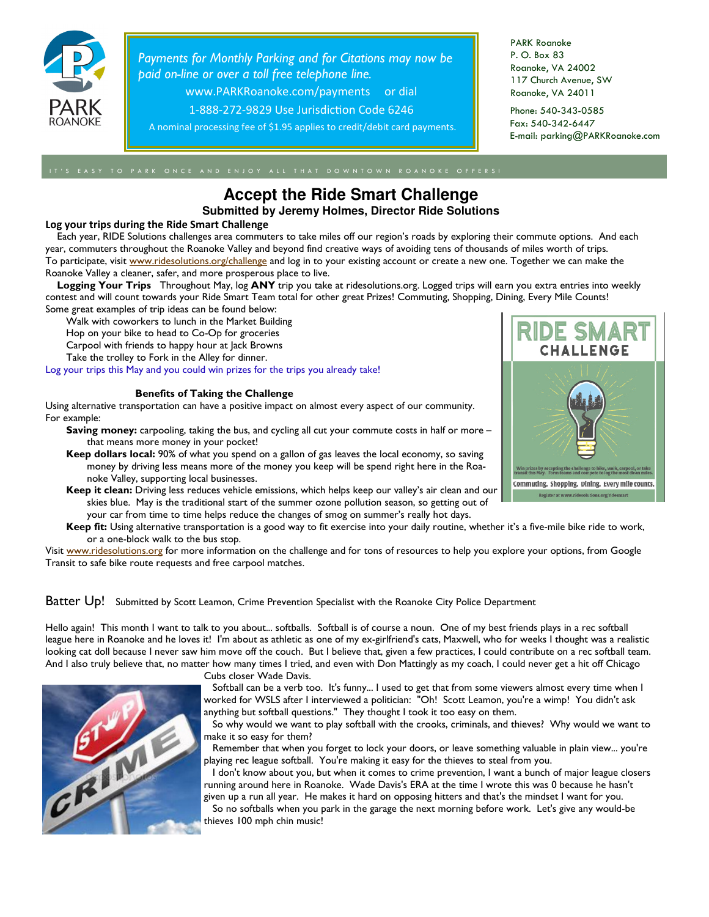

Payments for Monthly Parking and for Citations may now be paid on-line or over a toll free telephone line.

www.PARKRoanoke.com/payments or dial

1-888-272-9829 Use Jurisdiction Code 6246

A nominal processing fee of \$1.95 applies to credit/debit card payments.

PARK Roanoke P. O. Box 83 Roanoke, VA 24002 117 Church Avenue, SW Roanoke, VA 24011

Phone: 540-343-0585 Fax: 540-342-6447 E-mail: parking@PARKRoanoke.com

### **Accept the Ride Smart Challenge**

**Submitted by Jeremy Holmes, Director Ride Solutions**

#### Log your trips during the Ride Smart Challenge

 Each year, RIDE Solutions challenges area commuters to take miles off our region's roads by exploring their commute options. And each year, commuters throughout the Roanoke Valley and beyond find creative ways of avoiding tens of thousands of miles worth of trips. To participate, visit www.ridesolutions.org/challenge and log in to your existing account or create a new one. Together we can make the Roanoke Valley a cleaner, safer, and more prosperous place to live.

Logging Your Trips Throughout May, log ANY trip you take at ridesolutions.org. Logged trips will earn you extra entries into weekly contest and will count towards your Ride Smart Team total for other great Prizes! Commuting, Shopping, Dining, Every Mile Counts! Some great examples of trip ideas can be found below:

Walk with coworkers to lunch in the Market Building

Hop on your bike to head to Co-Op for groceries

Carpool with friends to happy hour at Jack Browns

Take the trolley to Fork in the Alley for dinner.

Log your trips this May and you could win prizes for the trips you already take!

#### Benefits of Taking the Challenge

Using alternative transportation can have a positive impact on almost every aspect of our community. For example:

**Saving money:** carpooling, taking the bus, and cycling all cut your commute costs in half or more – that means more money in your pocket!

Keep dollars local: 90% of what you spend on a gallon of gas leaves the local economy, so saving money by driving less means more of the money you keep will be spend right here in the Roanoke Valley, supporting local businesses.

- Keep it clean: Driving less reduces vehicle emissions, which helps keep our valley's air clean and our skies blue. May is the traditional start of the summer ozone pollution season, so getting out of
	- your car from time to time helps reduce the changes of smog on summer's really hot days.

Keep fit: Using alternative transportation is a good way to fit exercise into your daily routine, whether it's a five-mile bike ride to work, or a one-block walk to the bus stop.

Visit www.ridesolutions.org for more information on the challenge and for tons of resources to help you explore your options, from Google Transit to safe bike route requests and free carpool matches.

Batter Up! Submitted by Scott Leamon, Crime Prevention Specialist with the Roanoke City Police Department

Hello again! This month I want to talk to you about... softballs. Softball is of course a noun. One of my best friends plays in a rec softball league here in Roanoke and he loves it! I'm about as athletic as one of my ex-girlfriend's cats, Maxwell, who for weeks I thought was a realistic looking cat doll because I never saw him move off the couch. But I believe that, given a few practices, I could contribute on a rec softball team. And I also truly believe that, no matter how many times I tried, and even with Don Mattingly as my coach, I could never get a hit off Chicago

GRANT

Cubs closer Wade Davis.

 Softball can be a verb too. It's funny... I used to get that from some viewers almost every time when I worked for WSLS after I interviewed a politician: "Oh! Scott Leamon, you're a wimp! You didn't ask anything but softball questions." They thought I took it too easy on them.

 So why would we want to play softball with the crooks, criminals, and thieves? Why would we want to make it so easy for them?

 Remember that when you forget to lock your doors, or leave something valuable in plain view... you're playing rec league softball. You're making it easy for the thieves to steal from you.

 I don't know about you, but when it comes to crime prevention, I want a bunch of major league closers running around here in Roanoke. Wade Davis's ERA at the time I wrote this was 0 because he hasn't given up a run all year. He makes it hard on opposing hitters and that's the mindset I want for you.

 So no softballs when you park in the garage the next morning before work. Let's give any would-be thieves 100 mph chin music!